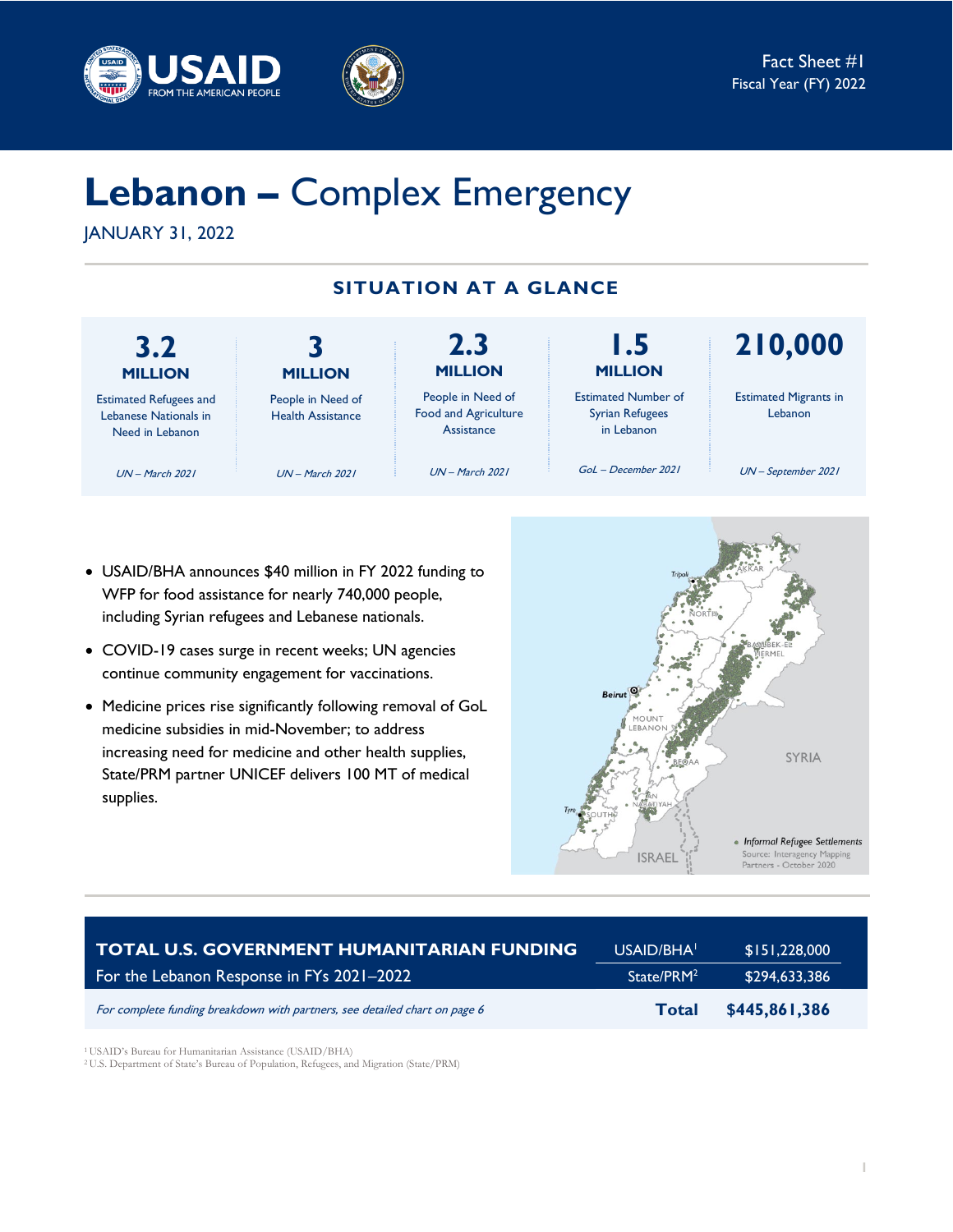



# **Lebanon –** Complex Emergency

JANUARY 31, 2022

# **SITUATION AT A GLANCE**



- USAID/BHA announces \$40 million in FY 2022 funding to WFP for food assistance for nearly 740,000 people, including Syrian refugees and Lebanese nationals.
- COVID-19 cases surge in recent weeks; UN agencies continue community engagement for vaccinations.
- Medicine prices rise significantly following removal of GoL medicine subsidies in mid-November; to address increasing need for medicine and other health supplies, State/PRM partner UNICEF delivers 100 MT of medical supplies.



| TOTAL U.S. GOVERNMENT HUMANITARIAN FUNDING                                 | USAID/BHA <sup>1</sup> | \$151,228,000 |
|----------------------------------------------------------------------------|------------------------|---------------|
| For the Lebanon Response in FYs $2021-2022$                                | State/PRM <sup>2</sup> | \$294,633,386 |
| For complete funding breakdown with partners, see detailed chart on page 6 | <b>Total</b>           | \$445,861,386 |

<sup>1</sup> USAID's Bureau for Humanitarian Assistance (USAID/BHA) 2 U.S. Department of State's Bureau of Population, Refugees, and Migration (State/PRM)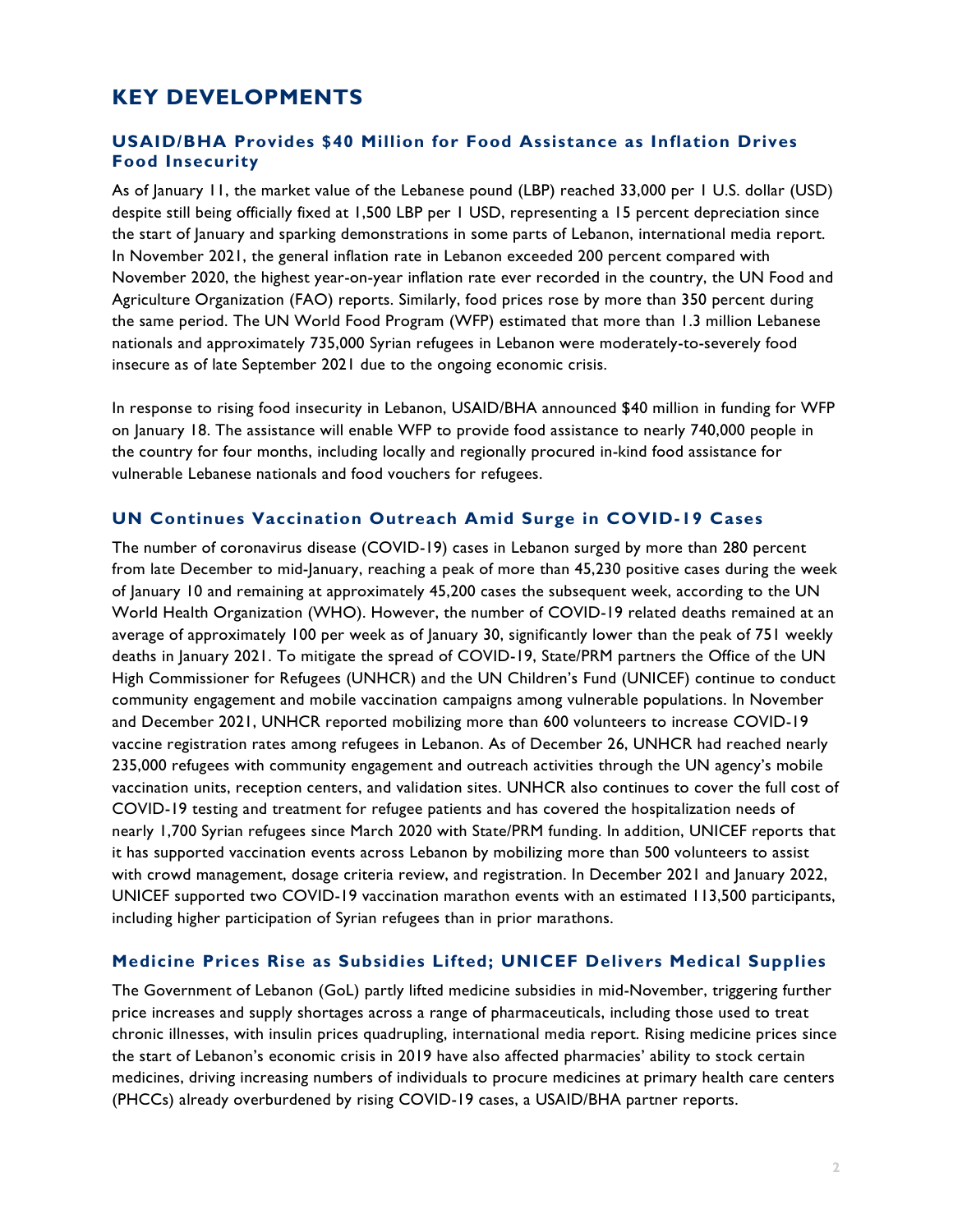# **KEY DEVELOPMENTS**

### **USAID/BHA Provides \$40 Million for Food Assistance as Inflation Drives Food Insecurity**

As of January 11, the market value of the Lebanese pound (LBP) reached 33,000 per 1 U.S. dollar (USD) despite still being officially fixed at 1,500 LBP per 1 USD, representing a 15 percent depreciation since the start of January and sparking demonstrations in some parts of Lebanon, international media report. In November 2021, the general inflation rate in Lebanon exceeded 200 percent compared with November 2020, the highest year-on-year inflation rate ever recorded in the country, the UN Food and Agriculture Organization (FAO) reports. Similarly, food prices rose by more than 350 percent during the same period. The UN World Food Program (WFP) estimated that more than 1.3 million Lebanese nationals and approximately 735,000 Syrian refugees in Lebanon were moderately-to-severely food insecure as of late September 2021 due to the ongoing economic crisis.

In response to rising food insecurity in Lebanon, USAID/BHA announced \$40 million in funding for WFP on January 18. The assistance will enable WFP to provide food assistance to nearly 740,000 people in the country for four months, including locally and regionally procured in-kind food assistance for vulnerable Lebanese nationals and food vouchers for refugees.

#### **UN Continues Vaccination Outreach Amid Surge in COVID-19 Cases**

The number of coronavirus disease (COVID-19) cases in Lebanon surged by more than 280 percent from late December to mid-January, reaching a peak of more than 45,230 positive cases during the week of January 10 and remaining at approximately 45,200 cases the subsequent week, according to the UN World Health Organization (WHO). However, the number of COVID-19 related deaths remained at an average of approximately 100 per week as of January 30, significantly lower than the peak of 751 weekly deaths in January 2021. To mitigate the spread of COVID-19, State/PRM partners the Office of the UN High Commissioner for Refugees (UNHCR) and the UN Children's Fund (UNICEF) continue to conduct community engagement and mobile vaccination campaigns among vulnerable populations. In November and December 2021, UNHCR reported mobilizing more than 600 volunteers to increase COVID-19 vaccine registration rates among refugees in Lebanon. As of December 26, UNHCR had reached nearly 235,000 refugees with community engagement and outreach activities through the UN agency's mobile vaccination units, reception centers, and validation sites. UNHCR also continues to cover the full cost of COVID-19 testing and treatment for refugee patients and has covered the hospitalization needs of nearly 1,700 Syrian refugees since March 2020 with State/PRM funding. In addition, UNICEF reports that it has supported vaccination events across Lebanon by mobilizing more than 500 volunteers to assist with crowd management, dosage criteria review, and registration. In December 2021 and January 2022, UNICEF supported two COVID-19 vaccination marathon events with an estimated 113,500 participants, including higher participation of Syrian refugees than in prior marathons.

#### **Medicine Prices Rise as Subsidies Lifted; UNICEF Delivers Medical Supplies**

The Government of Lebanon (GoL) partly lifted medicine subsidies in mid-November, triggering further price increases and supply shortages across a range of pharmaceuticals, including those used to treat chronic illnesses, with insulin prices quadrupling, international media report. Rising medicine prices since the start of Lebanon's economic crisis in 2019 have also affected pharmacies' ability to stock certain medicines, driving increasing numbers of individuals to procure medicines at primary health care centers (PHCCs) already overburdened by rising COVID-19 cases, a USAID/BHA partner reports.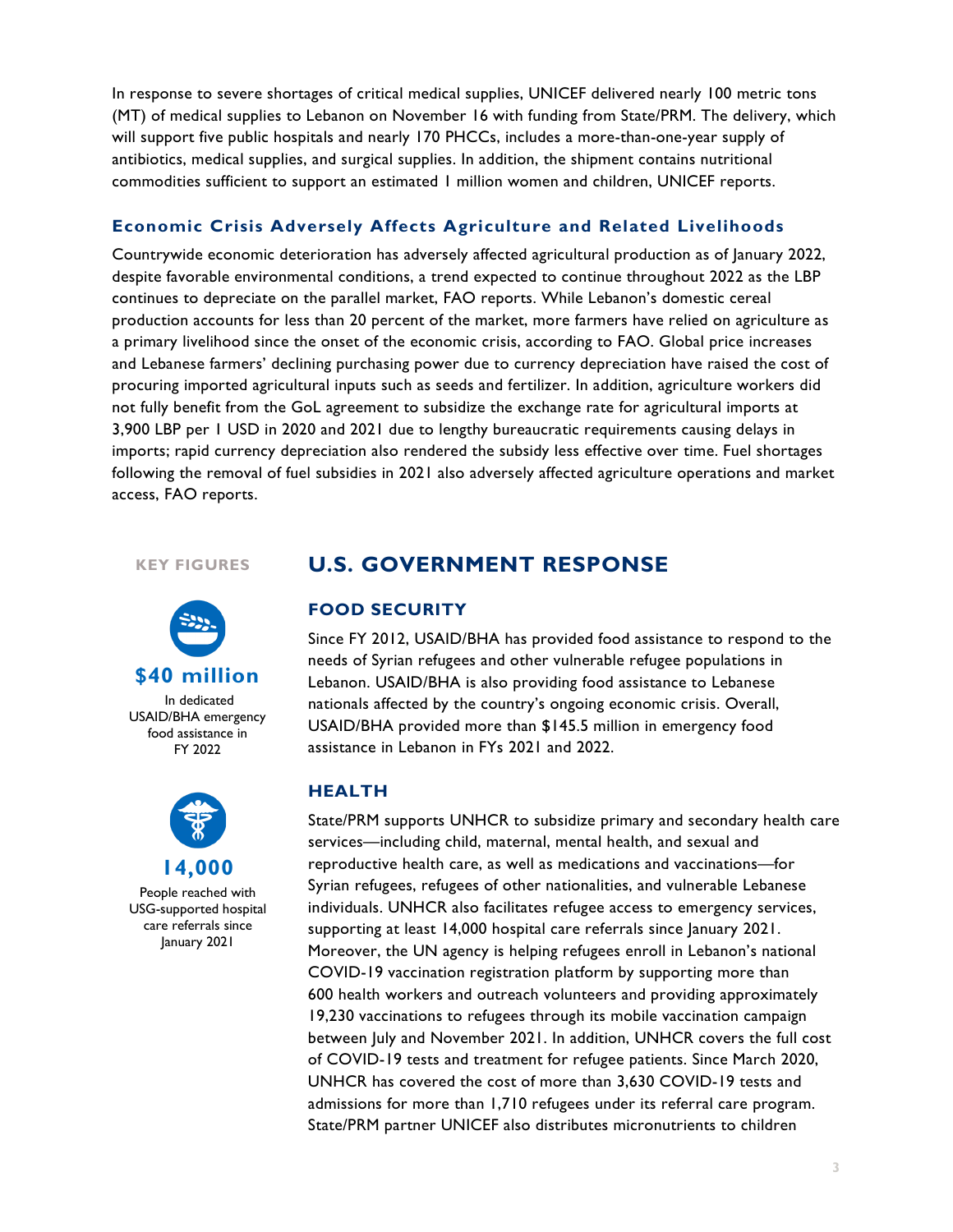In response to severe shortages of critical medical supplies, UNICEF delivered nearly 100 metric tons (MT) of medical supplies to Lebanon on November 16 with funding from State/PRM. The delivery, which will support five public hospitals and nearly 170 PHCCs, includes a more-than-one-year supply of antibiotics, medical supplies, and surgical supplies. In addition, the shipment contains nutritional commodities sufficient to support an estimated 1 million women and children, UNICEF reports.

#### **Economic Crisis Adversely Affects Agriculture and Related Livelihoods**

Countrywide economic deterioration has adversely affected agricultural production as of January 2022, despite favorable environmental conditions, a trend expected to continue throughout 2022 as the LBP continues to depreciate on the parallel market, FAO reports. While Lebanon's domestic cereal production accounts for less than 20 percent of the market, more farmers have relied on agriculture as a primary livelihood since the onset of the economic crisis, according to FAO. Global price increases and Lebanese farmers' declining purchasing power due to currency depreciation have raised the cost of procuring imported agricultural inputs such as seeds and fertilizer. In addition, agriculture workers did not fully benefit from the GoL agreement to subsidize the exchange rate for agricultural imports at 3,900 LBP per 1 USD in 2020 and 2021 due to lengthy bureaucratic requirements causing delays in imports; rapid currency depreciation also rendered the subsidy less effective over time. Fuel shortages following the removal of fuel subsidies in 2021 also adversely affected agriculture operations and market access, FAO reports.

#### **KEY FIGURES**



In dedicated USAID/BHA emergency food assistance in FY 2022



People reached with USG-supported hospital care referrals since January 2021

## **U.S. GOVERNMENT RESPONSE**

#### **FOOD SECURITY**

Since FY 2012, USAID/BHA has provided food assistance to respond to the needs of Syrian refugees and other vulnerable refugee populations in Lebanon. USAID/BHA is also providing food assistance to Lebanese nationals affected by the country's ongoing economic crisis. Overall, USAID/BHA provided more than \$145.5 million in emergency food assistance in Lebanon in FYs 2021 and 2022.

#### **HEALTH**

State/PRM supports UNHCR to subsidize primary and secondary health care services—including child, maternal, mental health, and sexual and reproductive health care, as well as medications and vaccinations—for Syrian refugees, refugees of other nationalities, and vulnerable Lebanese individuals. UNHCR also facilitates refugee access to emergency services, supporting at least 14,000 hospital care referrals since January 2021. Moreover, the UN agency is helping refugees enroll in Lebanon's national COVID-19 vaccination registration platform by supporting more than 600 health workers and outreach volunteers and providing approximately 19,230 vaccinations to refugees through its mobile vaccination campaign between July and November 2021. In addition, UNHCR covers the full cost of COVID-19 tests and treatment for refugee patients. Since March 2020, UNHCR has covered the cost of more than 3,630 COVID-19 tests and admissions for more than 1,710 refugees under its referral care program. State/PRM partner UNICEF also distributes micronutrients to children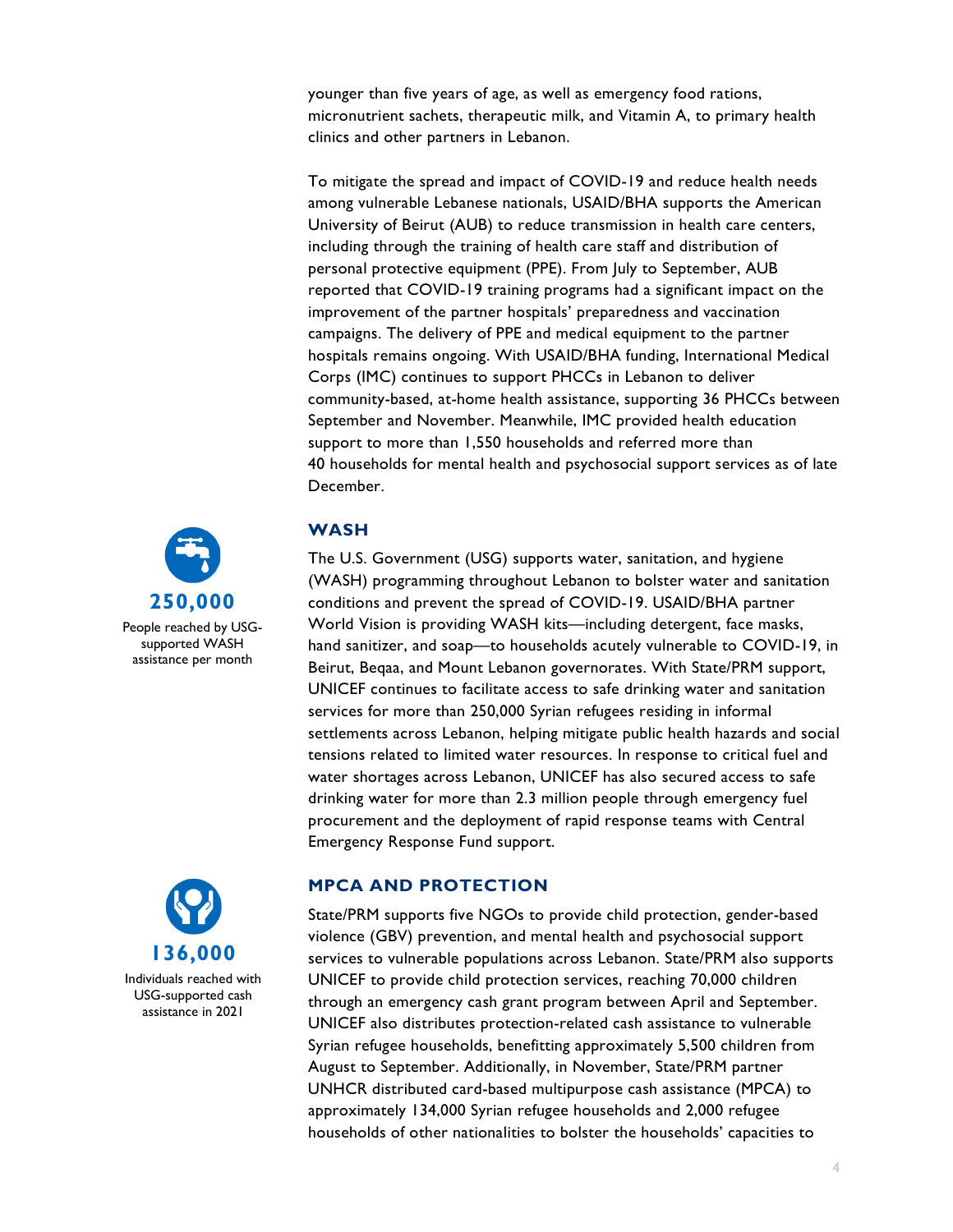younger than five years of age, as well as emergency food rations, micronutrient sachets, therapeutic milk, and Vitamin A, to primary health clinics and other partners in Lebanon.

To mitigate the spread and impact of COVID-19 and reduce health needs among vulnerable Lebanese nationals, USAID/BHA supports the American University of Beirut (AUB) to reduce transmission in health care centers, including through the training of health care staff and distribution of personal protective equipment (PPE). From July to September, AUB reported that COVID-19 training programs had a significant impact on the improvement of the partner hospitals' preparedness and vaccination campaigns. The delivery of PPE and medical equipment to the partner hospitals remains ongoing. With USAID/BHA funding, International Medical Corps (IMC) continues to support PHCCs in Lebanon to deliver community-based, at-home health assistance, supporting 36 PHCCs between September and November. Meanwhile, IMC provided health education support to more than 1,550 households and referred more than 40 households for mental health and psychosocial support services as of late December.

#### **WASH**

The U.S. Government (USG) supports water, sanitation, and hygiene (WASH) programming throughout Lebanon to bolster water and sanitation conditions and prevent the spread of COVID-19. USAID/BHA partner World Vision is providing WASH kits—including detergent, face masks, hand sanitizer, and soap—to households acutely vulnerable to COVID-19, in Beirut, Beqaa, and Mount Lebanon governorates. With State/PRM support, UNICEF continues to facilitate access to safe drinking water and sanitation services for more than 250,000 Syrian refugees residing in informal settlements across Lebanon, helping mitigate public health hazards and social tensions related to limited water resources. In response to critical fuel and water shortages across Lebanon, UNICEF has also secured access to safe drinking water for more than 2.3 million people through emergency fuel procurement and the deployment of rapid response teams with Central Emergency Response Fund support.

## **MPCA AND PROTECTION**

State/PRM supports five NGOs to provide child protection, gender-based violence (GBV) prevention, and mental health and psychosocial support services to vulnerable populations across Lebanon. State/PRM also supports UNICEF to provide child protection services, reaching 70,000 children through an emergency cash grant program between April and September. UNICEF also distributes protection-related cash assistance to vulnerable Syrian refugee households, benefitting approximately 5,500 children from August to September. Additionally, in November, State/PRM partner UNHCR distributed card-based multipurpose cash assistance (MPCA) to approximately 134,000 Syrian refugee households and 2,000 refugee households of other nationalities to bolster the households' capacities to



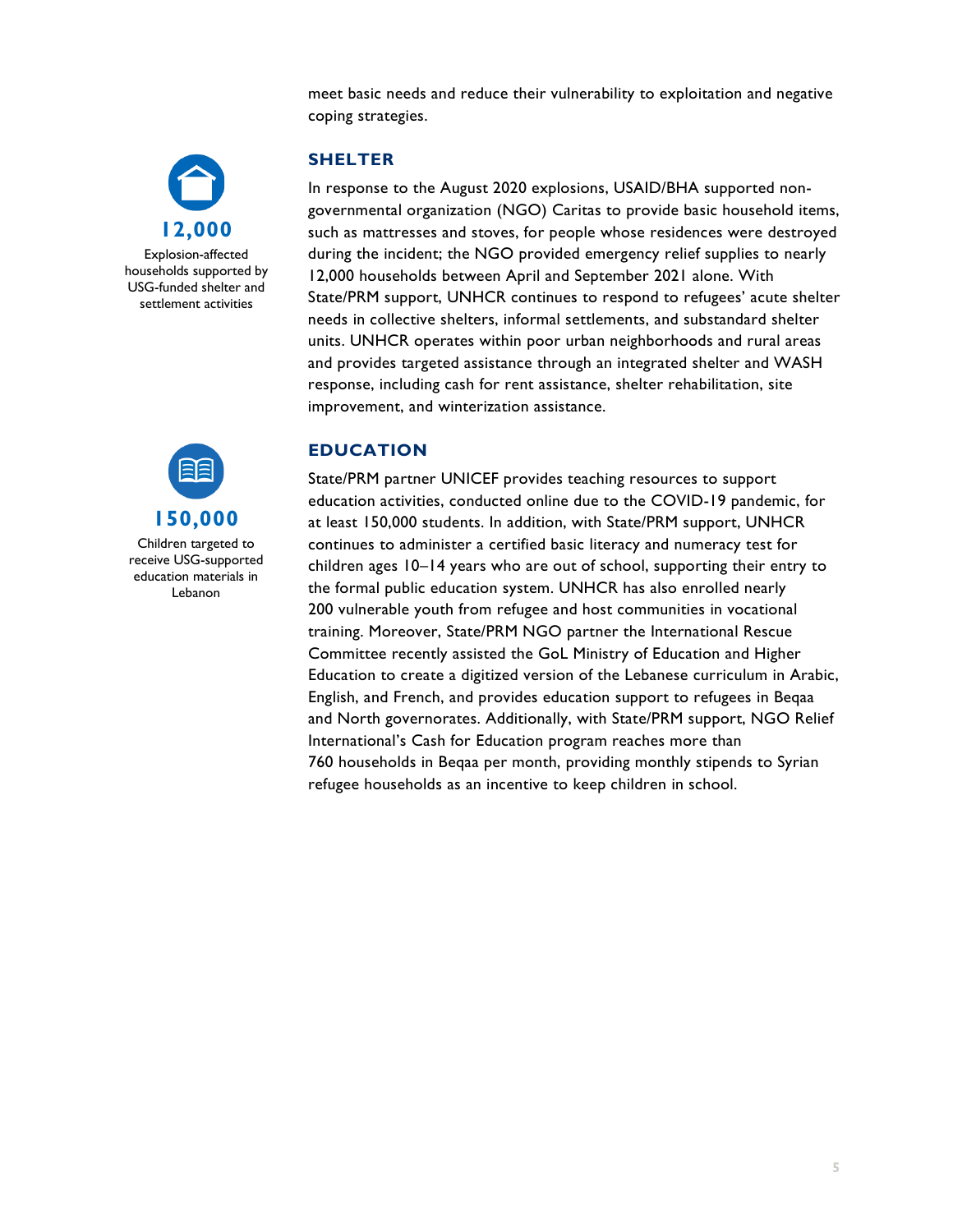meet basic needs and reduce their vulnerability to exploitation and negative coping strategies.



Explosion-affected households supported by USG-funded shelter and settlement activities



Children targeted to receive USG-supported education materials in Lebanon

## **SHELTER**

In response to the August 2020 explosions, USAID/BHA supported nongovernmental organization (NGO) Caritas to provide basic household items, such as mattresses and stoves, for people whose residences were destroyed during the incident; the NGO provided emergency relief supplies to nearly 12,000 households between April and September 2021 alone. With State/PRM support, UNHCR continues to respond to refugees' acute shelter needs in collective shelters, informal settlements, and substandard shelter units. UNHCR operates within poor urban neighborhoods and rural areas and provides targeted assistance through an integrated shelter and WASH response, including cash for rent assistance, shelter rehabilitation, site improvement, and winterization assistance.

#### **EDUCATION**

State/PRM partner UNICEF provides teaching resources to support education activities, conducted online due to the COVID-19 pandemic, for at least 150,000 students. In addition, with State/PRM support, UNHCR continues to administer a certified basic literacy and numeracy test for children ages 10–14 years who are out of school, supporting their entry to the formal public education system. UNHCR has also enrolled nearly 200 vulnerable youth from refugee and host communities in vocational training. Moreover, State/PRM NGO partner the International Rescue Committee recently assisted the GoL Ministry of Education and Higher Education to create a digitized version of the Lebanese curriculum in Arabic, English, and French, and provides education support to refugees in Beqaa and North governorates. Additionally, with State/PRM support, NGO Relief International's Cash for Education program reaches more than 760 households in Beqaa per month, providing monthly stipends to Syrian refugee households as an incentive to keep children in school.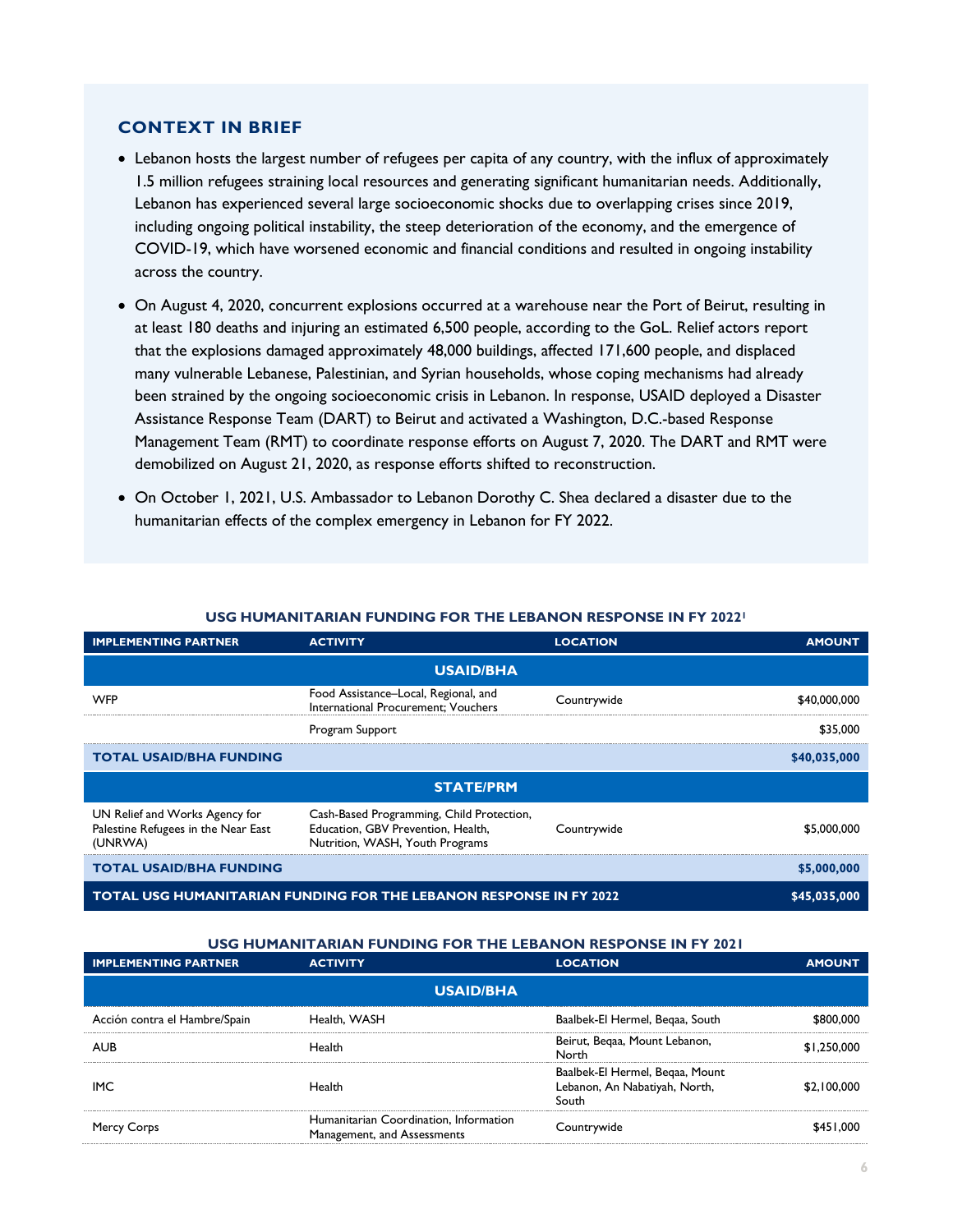#### **CONTEXT IN BRIEF**

- Lebanon hosts the largest number of refugees per capita of any country, with the influx of approximately 1.5 million refugees straining local resources and generating significant humanitarian needs. Additionally, Lebanon has experienced several large socioeconomic shocks due to overlapping crises since 2019, including ongoing political instability, the steep deterioration of the economy, and the emergence of COVID-19, which have worsened economic and financial conditions and resulted in ongoing instability across the country.
- On August 4, 2020, concurrent explosions occurred at a warehouse near the Port of Beirut, resulting in at least 180 deaths and injuring an estimated 6,500 people, according to the GoL. Relief actors report that the explosions damaged approximately 48,000 buildings, affected 171,600 people, and displaced many vulnerable Lebanese, Palestinian, and Syrian households, whose coping mechanisms had already been strained by the ongoing socioeconomic crisis in Lebanon. In response, USAID deployed a Disaster Assistance Response Team (DART) to Beirut and activated a Washington, D.C.-based Response Management Team (RMT) to coordinate response efforts on August 7, 2020. The DART and RMT were demobilized on August 21, 2020, as response efforts shifted to reconstruction.
- On October 1, 2021, U.S. Ambassador to Lebanon Dorothy C. Shea declared a disaster due to the humanitarian effects of the complex emergency in Lebanon for FY 2022.

| <b>IMPLEMENTING PARTNER</b>                                                      | <b>ACTIVITY</b>                                                                                                    | <b>LOCATION</b> | <b>AMOUNT</b> |  |
|----------------------------------------------------------------------------------|--------------------------------------------------------------------------------------------------------------------|-----------------|---------------|--|
| <b>USAID/BHA</b>                                                                 |                                                                                                                    |                 |               |  |
| <b>WFP</b>                                                                       | Food Assistance-Local, Regional, and<br>International Procurement; Vouchers                                        | Countrywide     | \$40,000,000  |  |
|                                                                                  | Program Support                                                                                                    |                 | \$35,000      |  |
| <b>TOTAL USAID/BHA FUNDING</b>                                                   |                                                                                                                    |                 | \$40,035,000  |  |
| <b>STATE/PRM</b>                                                                 |                                                                                                                    |                 |               |  |
| UN Relief and Works Agency for<br>Palestine Refugees in the Near East<br>(UNRWA) | Cash-Based Programming, Child Protection,<br>Education, GBV Prevention, Health,<br>Nutrition, WASH, Youth Programs | Countrywide     | \$5,000,000   |  |
| <b>TOTAL USAID/BHA FUNDING</b>                                                   |                                                                                                                    |                 | \$5,000,000   |  |
| <b>TOTAL USG HUMANITARIAN FUNDING FOR THE LEBANON RESPONSE IN FY 2022</b>        |                                                                                                                    |                 | \$45,035,000  |  |

#### **USG HUMANITARIAN FUNDING FOR THE LEBANON RESPONSE IN FY 20221**

#### **USG HUMANITARIAN FUNDING FOR THE LEBANON RESPONSE IN FY 2021**

| <b>IMPLEMENTING PARTNER</b>   | <b>ACTIVITY</b>                                                       | <b>LOCATION</b>                                                           | <b>AMOUNT</b> |  |  |
|-------------------------------|-----------------------------------------------------------------------|---------------------------------------------------------------------------|---------------|--|--|
| <b>USAID/BHA</b>              |                                                                       |                                                                           |               |  |  |
| Acción contra el Hambre/Spain | Health, WASH                                                          | Baalbek-El Hermel, Begaa, South                                           | \$800.000     |  |  |
| <b>AUB</b>                    | Health                                                                | Beirut, Begaa, Mount Lebanon,<br>North                                    | \$1.250.000   |  |  |
| IMC.                          | Health                                                                | Baalbek-El Hermel, Begaa, Mount<br>Lebanon, An Nabatiyah, North,<br>South | \$2.100,000   |  |  |
| Mercy Corps                   | Humanitarian Coordination, Information<br>Management, and Assessments | Countrywide                                                               | \$451.000     |  |  |